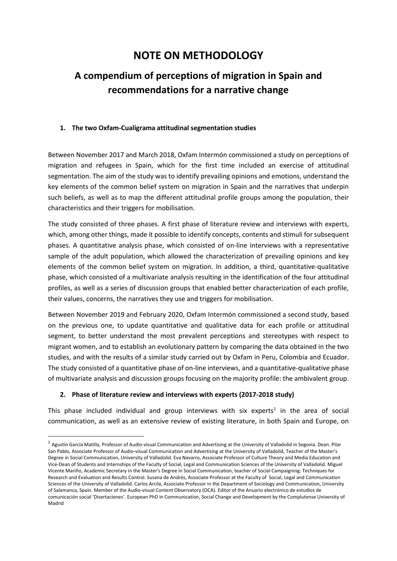# **NOTE ON METHODOLOGY**

# **A compendium of perceptions of migration in Spain and recommendations for a narrative change**

### **1. The two Oxfam-Cualigrama attitudinal segmentation studies**

Between November 2017 and March 2018, Oxfam Intermón commissioned a study on perceptions of migration and refugees in Spain, which for the first time included an exercise of attitudinal segmentation. The aim of the study was to identify prevailing opinions and emotions, understand the key elements of the common belief system on migration in Spain and the narratives that underpin such beliefs, as well as to map the different attitudinal profile groups among the population, their characteristics and their triggers for mobilisation.

The study consisted of three phases. A first phase of literature review and interviews with experts, which, among other things, made it possible to identify concepts, contents and stimuli for subsequent phases. A quantitative analysis phase, which consisted of on-line interviews with a representative sample of the adult population, which allowed the characterization of prevailing opinions and key elements of the common belief system on migration. In addition, a third, quantitative-qualitative phase, which consisted of a multivariate analysis resulting in the identification of the four attitudinal profiles, as well as a series of discussion groups that enabled better characterization of each profile, their values, concerns, the narratives they use and triggers for mobilisation.

Between November 2019 and February 2020, Oxfam Intermón commissioned a second study, based on the previous one, to update quantitative and qualitative data for each profile or attitudinal segment, to better understand the most prevalent perceptions and stereotypes with respect to migrant women, and to establish an evolutionary pattern by comparing the data obtained in the two studies, and with the results of a similar study carried out by Oxfam in Peru, Colombia and Ecuador. The study consisted of a quantitative phase of on-line interviews, and a quantitative-qualitative phase of multivariate analysis and discussion groups focusing on the majority profile: the ambivalent group.

### **2. Phase of literature review and interviews with experts (2017-2018 study)**

 $\overline{a}$ 

This phase included individual and group interviews with six experts<sup>1</sup> in the area of social communication, as well as an extensive review of existing literature, in both Spain and Europe, on

 $1$  Agustín García Matilla, Professor of Audio-visual Communication and Advertising at the University of Valladolid in Segovia. Dean. Pilar San Pablo, Associate Professor of Audio-visual Communication and Advertising at the University of Valladolid, Teacher of the Master's Degree in Social Communication, University of Valladolid. Eva Navarro, Associate Professor of Culture Theory and Media Education and Vice-Dean of Students and Internships of the Faculty of Social, Legal and Communication Sciences of the University of Valladolid. Miguel Vicente Mariño, Academic Secretary in the Master's Degree in Social Communication, teacher of Social Campaigning: Techniques for Research and Evaluation and Results Control. Susana de Andrés, Associate Professor at the Faculty of Social, Legal and Communication Sciences of the University of Valladolid. Carlos Arcila, Associate Professor in the Department of Sociology and Communication, University of Salamanca, Spain. Member of the Audio-visual Content Observatory (OCA). Editor of the Anuario electrónico de estudios de comunicación social 'Disertaciones'. European PhD in Communication, Social Change and Development by the Complutense University of Madrid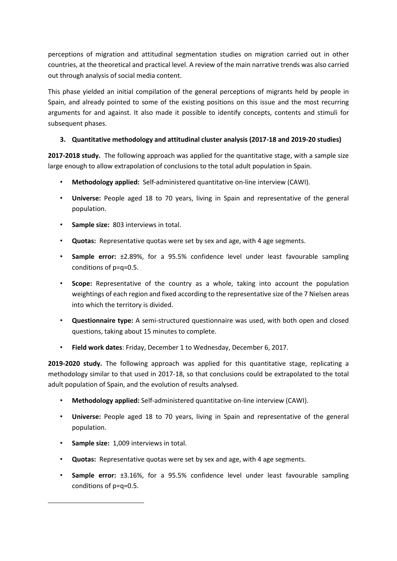perceptions of migration and attitudinal segmentation studies on migration carried out in other countries, at the theoretical and practical level. A review of the main narrative trends was also carried out through analysis of social media content.

This phase yielded an initial compilation of the general perceptions of migrants held by people in Spain, and already pointed to some of the existing positions on this issue and the most recurring arguments for and against. It also made it possible to identify concepts, contents and stimuli for subsequent phases.

## **3. Quantitative methodology and attitudinal cluster analysis (2017-18 and 2019-20 studies)**

**2017-2018 study.** The following approach was applied for the quantitative stage, with a sample size large enough to allow extrapolation of conclusions to the total adult population in Spain.

- **Methodology applied:** Self-administered quantitative on-line interview (CAWI).
- **Universe:** People aged 18 to 70 years, living in Spain and representative of the general population.
- **Sample size:** 803 interviews in total.
- **Quotas:** Representative quotas were set by sex and age, with 4 age segments.
- **Sample error:** ±2.89%, for a 95.5% confidence level under least favourable sampling conditions of p=q=0.5.
- **Scope:** Representative of the country as a whole, taking into account the population weightings of each region and fixed according to the representative size of the 7 Nielsen areas into which the territory is divided.
- **Questionnaire type:** A semi-structured questionnaire was used, with both open and closed questions, taking about 15 minutes to complete.
- **Field work dates**: Friday, December 1 to Wednesday, December 6, 2017.

**2019-2020 study.** The following approach was applied for this quantitative stage, replicating a methodology similar to that used in 2017-18, so that conclusions could be extrapolated to the total adult population of Spain, and the evolution of results analysed.

- **Methodology applied:** Self-administered quantitative on-line interview (CAWI).
- **Universe:** People aged 18 to 70 years, living in Spain and representative of the general population.
- **Sample size:** 1,009 interviews in total.

 $\overline{a}$ 

- **Quotas:** Representative quotas were set by sex and age, with 4 age segments.
- **Sample error:** ±3.16%, for a 95.5% confidence level under least favourable sampling conditions of p=q=0.5.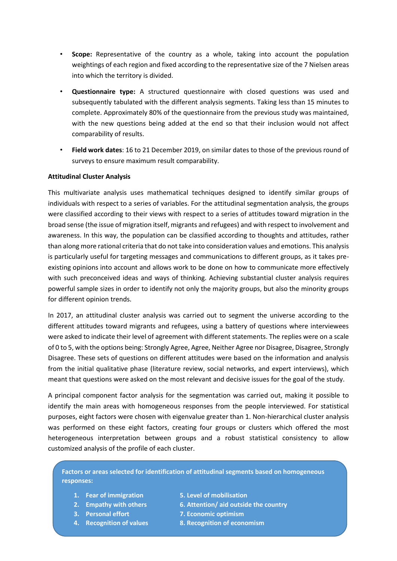- **Scope:** Representative of the country as a whole, taking into account the population weightings of each region and fixed according to the representative size of the 7 Nielsen areas into which the territory is divided.
- **Questionnaire type:** A structured questionnaire with closed questions was used and subsequently tabulated with the different analysis segments. Taking less than 15 minutes to complete. Approximately 80% of the questionnaire from the previous study was maintained, with the new questions being added at the end so that their inclusion would not affect comparability of results.
- **Field work dates**: 16 to 21 December 2019, on similar dates to those of the previous round of surveys to ensure maximum result comparability.

#### **Attitudinal Cluster Analysis**

This multivariate analysis uses mathematical techniques designed to identify similar groups of individuals with respect to a series of variables. For the attitudinal segmentation analysis, the groups were classified according to their views with respect to a series of attitudes toward migration in the broad sense (the issue of migration itself, migrants and refugees) and with respect to involvement and awareness. In this way, the population can be classified according to thoughts and attitudes, rather than along more rational criteria that do not take into consideration values and emotions. This analysis is particularly useful for targeting messages and communications to different groups, as it takes preexisting opinions into account and allows work to be done on how to communicate more effectively with such preconceived ideas and ways of thinking. Achieving substantial cluster analysis requires powerful sample sizes in order to identify not only the majority groups, but also the minority groups for different opinion trends.

In 2017, an attitudinal cluster analysis was carried out to segment the universe according to the different attitudes toward migrants and refugees, using a battery of questions where interviewees were asked to indicate their level of agreement with different statements. The replies were on a scale of 0 to 5, with the options being: Strongly Agree, Agree, Neither Agree nor Disagree, Disagree, Strongly Disagree. These sets of questions on different attitudes were based on the information and analysis from the initial qualitative phase (literature review, social networks, and expert interviews), which meant that questions were asked on the most relevant and decisive issues for the goal of the study.

A principal component factor analysis for the segmentation was carried out, making it possible to identify the main areas with homogeneous responses from the people interviewed. For statistical purposes, eight factors were chosen with eigenvalue greater than 1. Non-hierarchical cluster analysis was performed on these eight factors, creating four groups or clusters which offered the most heterogeneous interpretation between groups and a robust statistical consistency to allow customized analysis of the profile of each cluster.

**Factors or areas selected for identification of attitudinal segments based on homogeneous responses:** 

- **1. Fear of immigration 5. Level of mobilisation**
- 
- 
- 
- 
- **2. Empathy with others 6. Attention/ aid outside the country**
- **3. Personal effort 7. Economic optimism**
- **4. Recognition of values 8. Recognition of economism**